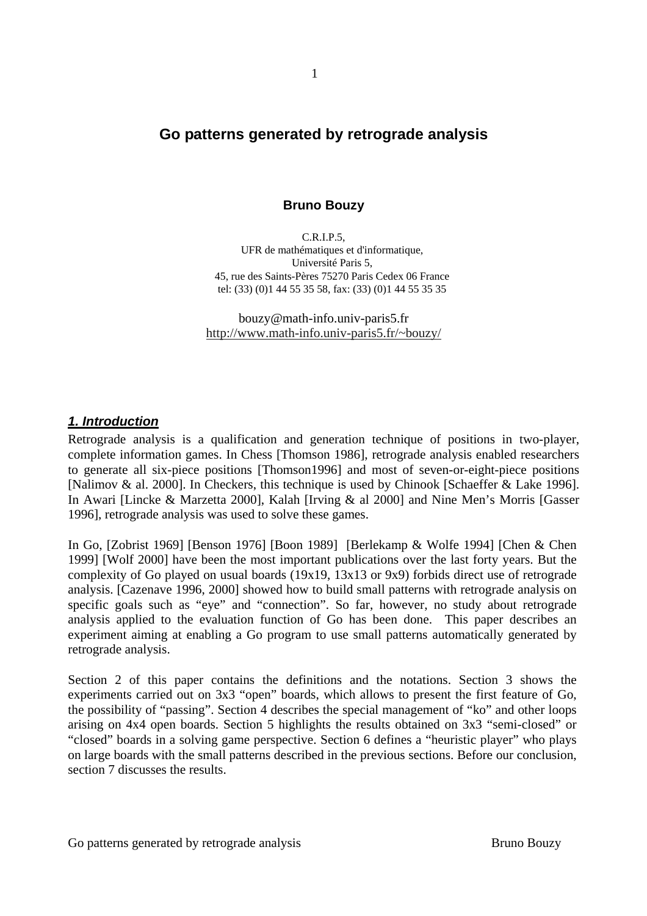# **Go patterns generated by retrograde analysis**

## **Bruno Bouzy**

C.R.I.P.5, UFR de mathématiques et d'informatique, Université Paris 5, 45, rue des Saints-Pères 75270 Paris Cedex 06 France tel: (33) (0)1 44 55 35 58, fax: (33) (0)1 44 55 35 35

bouzy@math-info.univ-paris5.fr http://www.math-info.univ-paris5.fr/~bouzy/

### **1. Introduction**

Retrograde analysis is a qualification and generation technique of positions in two-player, complete information games. In Chess [Thomson 1986], retrograde analysis enabled researchers to generate all six-piece positions [Thomson1996] and most of seven-or-eight-piece positions [Nalimov & al. 2000]. In Checkers, this technique is used by Chinook [Schaeffer & Lake 1996]. In Awari [Lincke & Marzetta 2000], Kalah [Irving & al 2000] and Nine Men's Morris [Gasser 1996], retrograde analysis was used to solve these games.

In Go, [Zobrist 1969] [Benson 1976] [Boon 1989] [Berlekamp & Wolfe 1994] [Chen & Chen 1999] [Wolf 2000] have been the most important publications over the last forty years. But the complexity of Go played on usual boards (19x19, 13x13 or 9x9) forbids direct use of retrograde analysis. [Cazenave 1996, 2000] showed how to build small patterns with retrograde analysis on specific goals such as "eye" and "connection". So far, however, no study about retrograde analysis applied to the evaluation function of Go has been done. This paper describes an experiment aiming at enabling a Go program to use small patterns automatically generated by retrograde analysis.

Section 2 of this paper contains the definitions and the notations. Section 3 shows the experiments carried out on 3x3 "open" boards, which allows to present the first feature of Go, the possibility of "passing". Section 4 describes the special management of "ko" and other loops arising on 4x4 open boards. Section 5 highlights the results obtained on 3x3 "semi-closed" or "closed" boards in a solving game perspective. Section 6 defines a "heuristic player" who plays on large boards with the small patterns described in the previous sections. Before our conclusion, section 7 discusses the results.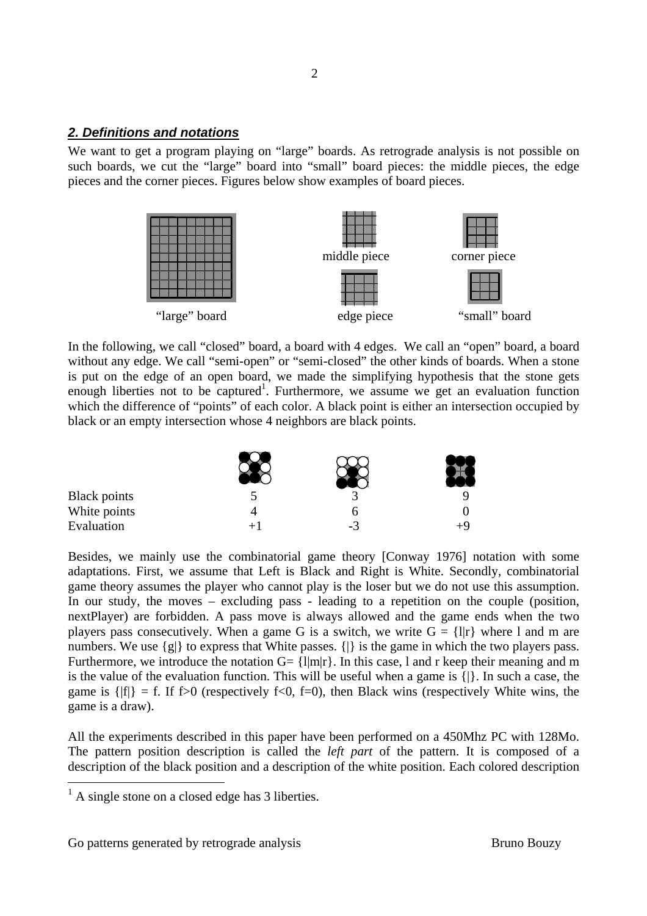### **2. Definitions and notations**

We want to get a program playing on "large" boards. As retrograde analysis is not possible on such boards, we cut the "large" board into "small" board pieces: the middle pieces, the edge pieces and the corner pieces. Figures below show examples of board pieces.



In the following, we call "closed" board, a board with 4 edges. We call an "open" board, a board without any edge. We call "semi-open" or "semi-closed" the other kinds of boards. When a stone is put on the edge of an open board, we made the simplifying hypothesis that the stone gets enough liberties not to be captured<sup>1</sup>. Furthermore, we assume we get an evaluation function which the difference of "points" of each color. A black point is either an intersection occupied by black or an empty intersection whose 4 neighbors are black points.

| <b>Black points</b> |      |  |
|---------------------|------|--|
| White points        |      |  |
| Evaluation          | $-3$ |  |

Besides, we mainly use the combinatorial game theory [Conway 1976] notation with some adaptations. First, we assume that Left is Black and Right is White. Secondly, combinatorial game theory assumes the player who cannot play is the loser but we do not use this assumption. In our study, the moves – excluding pass - leading to a repetition on the couple (position, nextPlayer) are forbidden. A pass move is always allowed and the game ends when the two players pass consecutively. When a game G is a switch, we write  $G = \{||r|\}$  where l and m are numbers. We use  $\{g\}$  to express that White passes.  $\{|\}$  is the game in which the two players pass. Furthermore, we introduce the notation  $G = \{I|m|r\}$ . In this case, 1 and r keep their meaning and m is the value of the evaluation function. This will be useful when a game is {|}. In such a case, the game is  $\{ |f| \} = f$ . If f > 0 (respectively f < 0, f = 0), then Black wins (respectively White wins, the game is a draw).

All the experiments described in this paper have been performed on a 450Mhz PC with 128Mo. The pattern position description is called the *left part* of the pattern. It is composed of a description of the black position and a description of the white position. Each colored description

-

 $<sup>1</sup>$  A single stone on a closed edge has 3 liberties.</sup>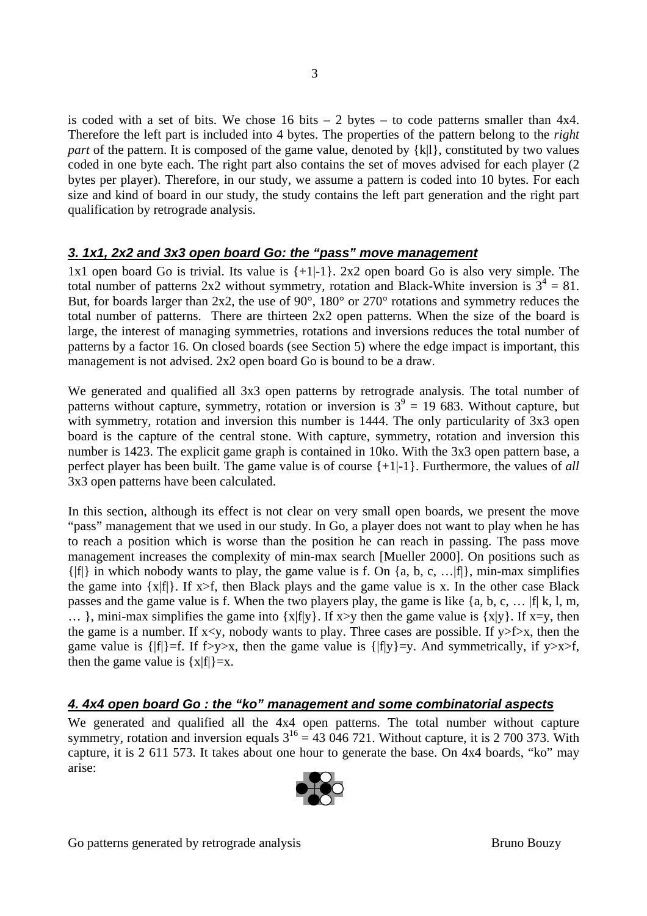is coded with a set of bits. We chose 16 bits  $-2$  bytes  $-$  to code patterns smaller than 4x4. Therefore the left part is included into 4 bytes. The properties of the pattern belong to the *right part* of the pattern. It is composed of the game value, denoted by  $\{k\}\$ , constituted by two values coded in one byte each. The right part also contains the set of moves advised for each player (2 bytes per player). Therefore, in our study, we assume a pattern is coded into 10 bytes. For each size and kind of board in our study, the study contains the left part generation and the right part qualification by retrograde analysis.

## **3. 1x1, 2x2 and 3x3 open board Go: the "pass" move management**

1x1 open board Go is trivial. Its value is  $\{+1\}$ . 2x2 open board Go is also very simple. The total number of patterns 2x2 without symmetry, rotation and Black-White inversion is  $3^4 = 81$ . But, for boards larger than 2x2, the use of 90°, 180° or 270° rotations and symmetry reduces the total number of patterns. There are thirteen 2x2 open patterns. When the size of the board is large, the interest of managing symmetries, rotations and inversions reduces the total number of patterns by a factor 16. On closed boards (see Section 5) where the edge impact is important, this management is not advised. 2x2 open board Go is bound to be a draw.

We generated and qualified all 3x3 open patterns by retrograde analysis. The total number of patterns without capture, symmetry, rotation or inversion is  $3^9 = 19$  683. Without capture, but with symmetry, rotation and inversion this number is 1444. The only particularity of 3x3 open board is the capture of the central stone. With capture, symmetry, rotation and inversion this number is 1423. The explicit game graph is contained in 10ko. With the 3x3 open pattern base, a perfect player has been built. The game value is of course {+1|-1}. Furthermore, the values of *all* 3x3 open patterns have been calculated.

In this section, although its effect is not clear on very small open boards, we present the move "pass" management that we used in our study. In Go, a player does not want to play when he has to reach a position which is worse than the position he can reach in passing. The pass move management increases the complexity of min-max search [Mueller 2000]. On positions such as  $\{|f|\}$  in which nobody wants to play, the game value is f. On  $\{a, b, c, ... | f|\}$ , min-max simplifies the game into  $\{x|f\}$ . If  $x>f$ , then Black plays and the game value is x. In the other case Black passes and the game value is f. When the two players play, the game is like {a, b, c, … |f| k, l, m,  $\ldots$ ), mini-max simplifies the game into {x|f|y}. If x>y then the game value is {x|y}. If x=y, then the game is a number. If  $x \le y$ , nobody wants to play. Three cases are possible. If  $y \ge f \ge x$ , then the game value is  $\{|f|\} = f$ . If f>y>x, then the game value is  $\{|f|y\} = y$ . And symmetrically, if y>x>f, then the game value is  $\{x|f|\} = x$ .

## **4. 4x4 open board Go : the "ko" management and some combinatorial aspects**

We generated and qualified all the 4x4 open patterns. The total number without capture symmetry, rotation and inversion equals  $3^{16} = 43,046,721$ . Without capture, it is 2 700 373. With capture, it is 2 611 573. It takes about one hour to generate the base. On 4x4 boards, "ko" may arise:

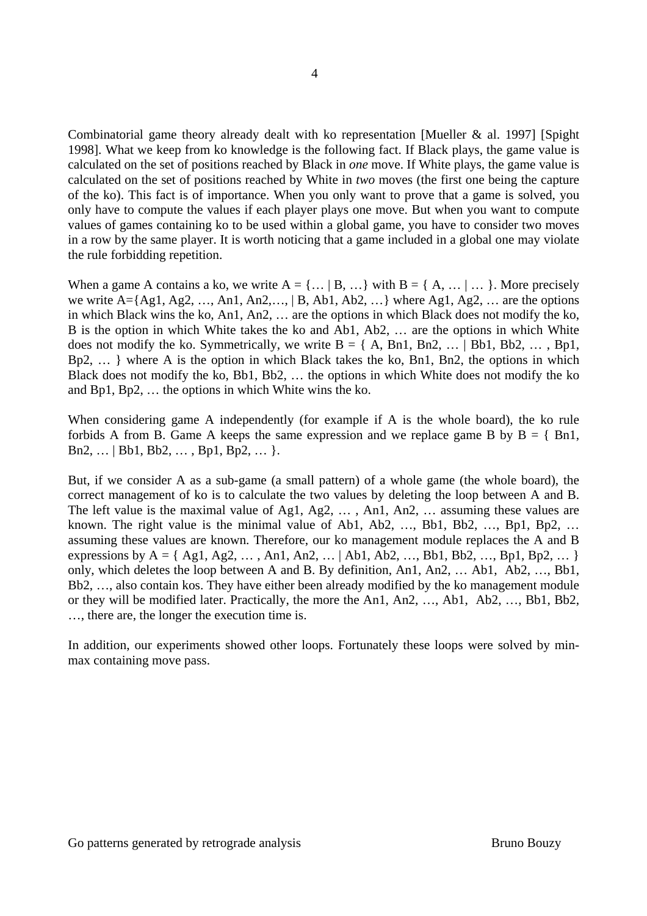Combinatorial game theory already dealt with ko representation [Mueller & al. 1997] [Spight 1998]. What we keep from ko knowledge is the following fact. If Black plays, the game value is calculated on the set of positions reached by Black in *one* move. If White plays, the game value is calculated on the set of positions reached by White in *two* moves (the first one being the capture of the ko). This fact is of importance. When you only want to prove that a game is solved, you only have to compute the values if each player plays one move. But when you want to compute values of games containing ko to be used within a global game, you have to consider two moves in a row by the same player. It is worth noticing that a game included in a global one may violate the rule forbidding repetition.

When a game A contains a ko, we write  $A = \{ \dots | B, \dots \}$  with  $B = \{ A, \dots | \dots \}$ . More precisely we write  $A = \{Ag1, Ag2, \ldots, An1, An2, \ldots\}$  B,  $Ab1, Ab2, \ldots$ } where Ag1, Ag2,  $\ldots$  are the options in which Black wins the ko, An1, An2, … are the options in which Black does not modify the ko, B is the option in which White takes the ko and Ab1, Ab2, … are the options in which White does not modify the ko. Symmetrically, we write  $B = \{ A, Bn1, Bn2, \dots \}$  Bb1, Bb2,  $\dots$ , Bp1, Bp2, … } where A is the option in which Black takes the ko, Bn1, Bn2, the options in which Black does not modify the ko, Bb1, Bb2, … the options in which White does not modify the ko and Bp1, Bp2, … the options in which White wins the ko.

When considering game A independently (for example if A is the whole board), the ko rule forbids A from B. Game A keeps the same expression and we replace game B by  $B = \{Bn1,$ Bn2, … | Bb1, Bb2, … , Bp1, Bp2, … }.

But, if we consider A as a sub-game (a small pattern) of a whole game (the whole board), the correct management of ko is to calculate the two values by deleting the loop between A and B. The left value is the maximal value of Ag1, Ag2, … , An1, An2, … assuming these values are known. The right value is the minimal value of Ab1, Ab2, …, Bb1, Bb2, …, Bp1, Bp2, … assuming these values are known. Therefore, our ko management module replaces the A and B expressions by  $A = \{ Ag1, Ag2, ..., An1, An2, ... | Ab1, Ab2, ..., Bb1, Bb2, ..., Bp1, Bp2, ... \}$ only, which deletes the loop between A and B. By definition, An1, An2, … Ab1, Ab2, …, Bb1, Bb2, …, also contain kos. They have either been already modified by the ko management module or they will be modified later. Practically, the more the An1, An2, …, Ab1, Ab2, …, Bb1, Bb2, …, there are, the longer the execution time is.

In addition, our experiments showed other loops. Fortunately these loops were solved by minmax containing move pass.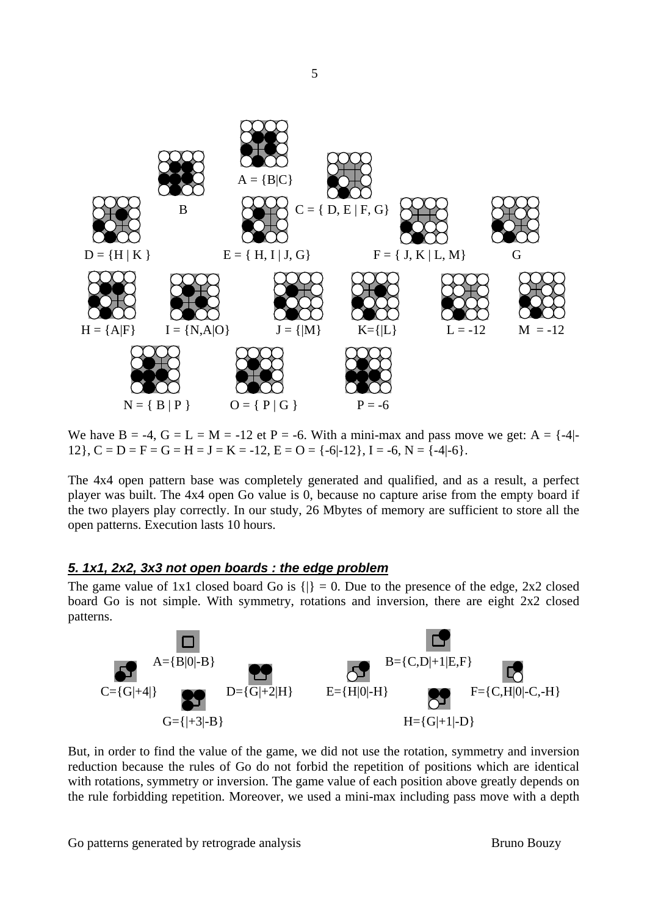

We have  $B = -4$ ,  $G = L = M = -12$  et P = -6. With a mini-max and pass move we get: A =  $\{-4\}$ -12},  $C = D = F = G = H = J = K = -12$ ,  $E = O = \{-6|-12\}$ ,  $I = -6$ ,  $N = \{-4|-6\}$ .

The 4x4 open pattern base was completely generated and qualified, and as a result, a perfect player was built. The 4x4 open Go value is 0, because no capture arise from the empty board if the two players play correctly. In our study, 26 Mbytes of memory are sufficient to store all the open patterns. Execution lasts 10 hours.

#### **5. 1x1, 2x2, 3x3 not open boards : the edge problem**

The game value of 1x1 closed board Go is  $\{|\} = 0$ . Due to the presence of the edge, 2x2 closed board Go is not simple. With symmetry, rotations and inversion, there are eight 2x2 closed patterns.



But, in order to find the value of the game, we did not use the rotation, symmetry and inversion reduction because the rules of Go do not forbid the repetition of positions which are identical with rotations, symmetry or inversion. The game value of each position above greatly depends on the rule forbidding repetition. Moreover, we used a mini-max including pass move with a depth

Go patterns generated by retrograde analysis Bruno Bouzy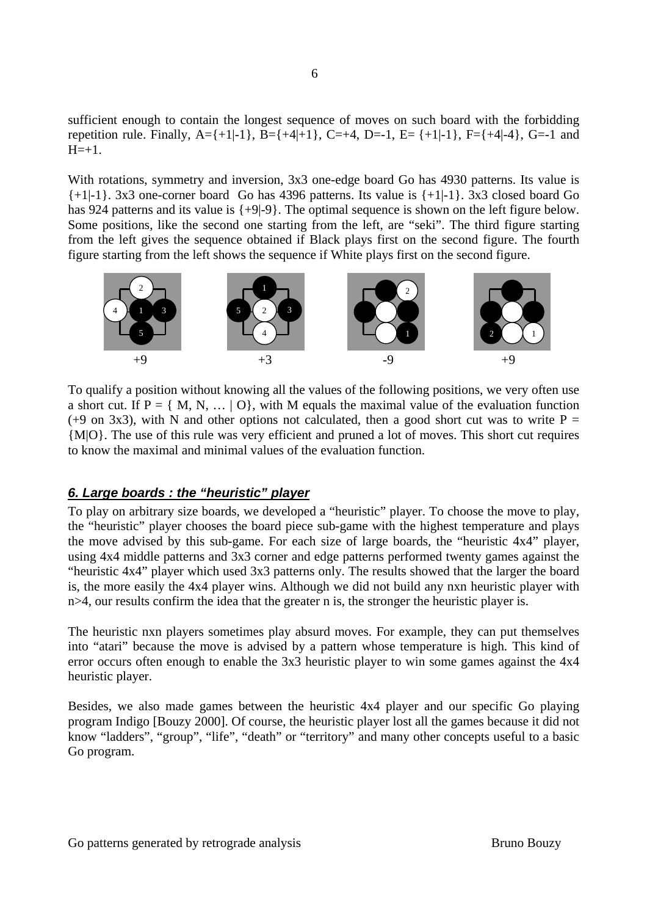sufficient enough to contain the longest sequence of moves on such board with the forbidding repetition rule. Finally,  $A = \{+1, -1\}$ ,  $B = \{+4, -1\}$ ,  $C = +4$ ,  $D = -1$ ,  $E = \{+1, -1\}$ ,  $F = \{+4, -4\}$ ,  $G = -1$  and  $H = +1.$ 

With rotations, symmetry and inversion, 3x3 one-edge board Go has 4930 patterns. Its value is  $\{+1|-1\}$ . 3x3 one-corner board Go has 4396 patterns. Its value is  $\{+1|-1\}$ . 3x3 closed board Go has 924 patterns and its value is  $\{+9|-9\}$ . The optimal sequence is shown on the left figure below. Some positions, like the second one starting from the left, are "seki". The third figure starting from the left gives the sequence obtained if Black plays first on the second figure. The fourth figure starting from the left shows the sequence if White plays first on the second figure.



To qualify a position without knowing all the values of the following positions, we very often use a short cut. If  $P = \{M, N, \dots | O\}$ , with M equals the maximal value of the evaluation function (+9 on 3x3), with N and other options not calculated, then a good short cut was to write  $P =$ {M|O}. The use of this rule was very efficient and pruned a lot of moves. This short cut requires to know the maximal and minimal values of the evaluation function.

### **6. Large boards : the "heuristic" player**

To play on arbitrary size boards, we developed a "heuristic" player. To choose the move to play, the "heuristic" player chooses the board piece sub-game with the highest temperature and plays the move advised by this sub-game. For each size of large boards, the "heuristic 4x4" player, using 4x4 middle patterns and 3x3 corner and edge patterns performed twenty games against the "heuristic 4x4" player which used 3x3 patterns only. The results showed that the larger the board is, the more easily the 4x4 player wins. Although we did not build any nxn heuristic player with n>4, our results confirm the idea that the greater n is, the stronger the heuristic player is.

The heuristic nxn players sometimes play absurd moves. For example, they can put themselves into "atari" because the move is advised by a pattern whose temperature is high. This kind of error occurs often enough to enable the 3x3 heuristic player to win some games against the 4x4 heuristic player.

Besides, we also made games between the heuristic 4x4 player and our specific Go playing program Indigo [Bouzy 2000]. Of course, the heuristic player lost all the games because it did not know "ladders", "group", "life", "death" or "territory" and many other concepts useful to a basic Go program.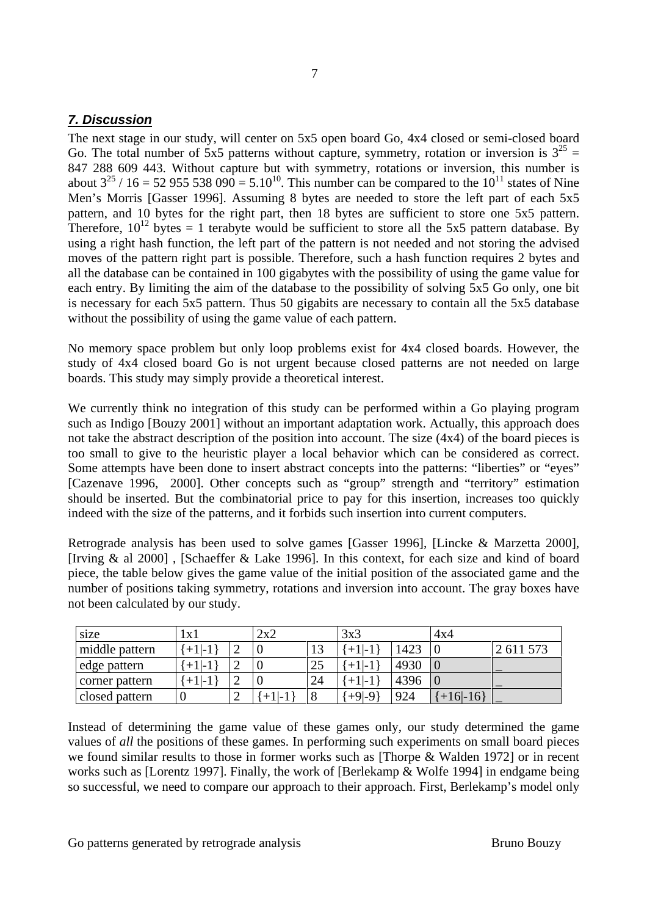## **7. Discussion**

The next stage in our study, will center on 5x5 open board Go, 4x4 closed or semi-closed board Go. The total number of 5x5 patterns without capture, symmetry, rotation or inversion is  $3^{25}$  = 847 288 609 443. Without capture but with symmetry, rotations or inversion, this number is about  $3^{25}$  / 16 = 52 955 538 090 = 5.10<sup>10</sup>. This number can be compared to the 10<sup>11</sup> states of Nine Men's Morris [Gasser 1996]. Assuming 8 bytes are needed to store the left part of each 5x5 pattern, and 10 bytes for the right part, then 18 bytes are sufficient to store one 5x5 pattern. Therefore,  $10^{12}$  bytes = 1 terabyte would be sufficient to store all the 5x5 pattern database. By using a right hash function, the left part of the pattern is not needed and not storing the advised moves of the pattern right part is possible. Therefore, such a hash function requires 2 bytes and all the database can be contained in 100 gigabytes with the possibility of using the game value for each entry. By limiting the aim of the database to the possibility of solving 5x5 Go only, one bit is necessary for each 5x5 pattern. Thus 50 gigabits are necessary to contain all the 5x5 database without the possibility of using the game value of each pattern.

No memory space problem but only loop problems exist for 4x4 closed boards. However, the study of 4x4 closed board Go is not urgent because closed patterns are not needed on large boards. This study may simply provide a theoretical interest.

We currently think no integration of this study can be performed within a Go playing program such as Indigo [Bouzy 2001] without an important adaptation work. Actually, this approach does not take the abstract description of the position into account. The size (4x4) of the board pieces is too small to give to the heuristic player a local behavior which can be considered as correct. Some attempts have been done to insert abstract concepts into the patterns: "liberties" or "eyes" [Cazenave 1996, 2000]. Other concepts such as "group" strength and "territory" estimation should be inserted. But the combinatorial price to pay for this insertion, increases too quickly indeed with the size of the patterns, and it forbids such insertion into current computers.

Retrograde analysis has been used to solve games [Gasser 1996], [Lincke & Marzetta 2000], [Irving & al 2000] , [Schaeffer & Lake 1996]. In this context, for each size and kind of board piece, the table below gives the game value of the initial position of the associated game and the number of positions taking symmetry, rotations and inversion into account. The gray boxes have not been calculated by our study.

| size           | l x l     |   | 2x2     |         | 3x3     |      | 4x4      |           |
|----------------|-----------|---|---------|---------|---------|------|----------|-----------|
| middle pattern | $+1$  -1  |   | υ       | Τņ      | $+1$ -i | 1423 |          | 2 611 573 |
| edge pattern   | $+1$  -1  |   | ν       | 25      | $+1$ -1 | 4930 |          |           |
| corner pattern | $+1$ $-1$ |   | υ       | 24      | $+1$  - | 4396 |          |           |
| closed pattern | U         | ∸ | $+1$  - | $\circ$ | $+9-9$  | 924  | $+16-16$ |           |

Instead of determining the game value of these games only, our study determined the game values of *all* the positions of these games. In performing such experiments on small board pieces we found similar results to those in former works such as [Thorpe & Walden 1972] or in recent works such as [Lorentz 1997]. Finally, the work of [Berlekamp & Wolfe 1994] in endgame being so successful, we need to compare our approach to their approach. First, Berlekamp's model only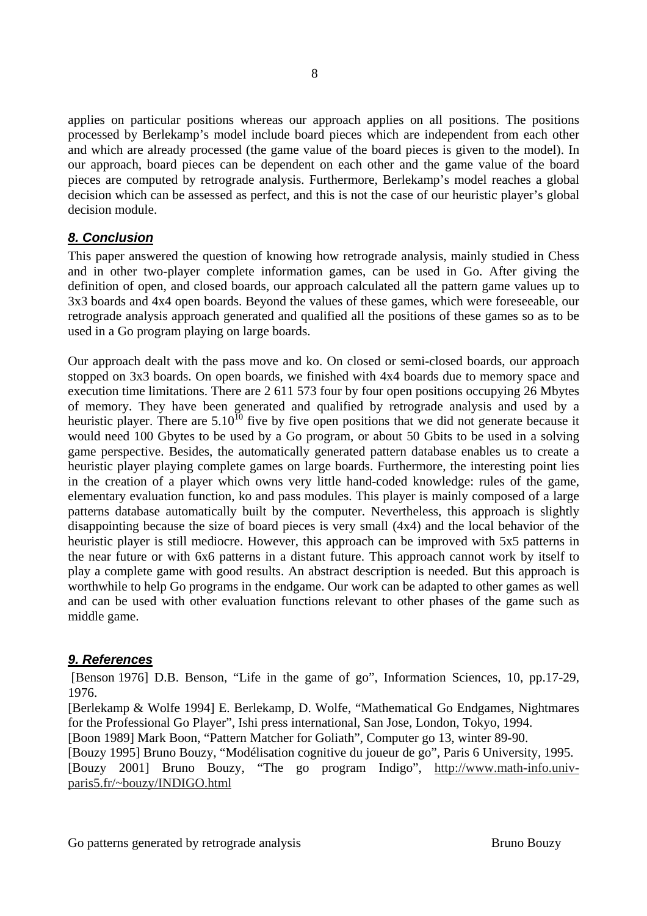applies on particular positions whereas our approach applies on all positions. The positions processed by Berlekamp's model include board pieces which are independent from each other and which are already processed (the game value of the board pieces is given to the model). In our approach, board pieces can be dependent on each other and the game value of the board pieces are computed by retrograde analysis. Furthermore, Berlekamp's model reaches a global decision which can be assessed as perfect, and this is not the case of our heuristic player's global decision module.

## **8. Conclusion**

This paper answered the question of knowing how retrograde analysis, mainly studied in Chess and in other two-player complete information games, can be used in Go. After giving the definition of open, and closed boards, our approach calculated all the pattern game values up to 3x3 boards and 4x4 open boards. Beyond the values of these games, which were foreseeable, our retrograde analysis approach generated and qualified all the positions of these games so as to be used in a Go program playing on large boards.

Our approach dealt with the pass move and ko. On closed or semi-closed boards, our approach stopped on 3x3 boards. On open boards, we finished with 4x4 boards due to memory space and execution time limitations. There are 2 611 573 four by four open positions occupying 26 Mbytes of memory. They have been generated and qualified by retrograde analysis and used by a heuristic player. There are  $5.10^{10}$  five by five open positions that we did not generate because it would need 100 Gbytes to be used by a Go program, or about 50 Gbits to be used in a solving game perspective. Besides, the automatically generated pattern database enables us to create a heuristic player playing complete games on large boards. Furthermore, the interesting point lies in the creation of a player which owns very little hand-coded knowledge: rules of the game, elementary evaluation function, ko and pass modules. This player is mainly composed of a large patterns database automatically built by the computer. Nevertheless, this approach is slightly disappointing because the size of board pieces is very small (4x4) and the local behavior of the heuristic player is still mediocre. However, this approach can be improved with 5x5 patterns in the near future or with 6x6 patterns in a distant future. This approach cannot work by itself to play a complete game with good results. An abstract description is needed. But this approach is worthwhile to help Go programs in the endgame. Our work can be adapted to other games as well and can be used with other evaluation functions relevant to other phases of the game such as middle game.

### **9. References**

[Benson 1976] D.B. Benson, "Life in the game of go", Information Sciences, 10, pp.17-29, 1976.

[Berlekamp & Wolfe 1994] E. Berlekamp, D. Wolfe, "Mathematical Go Endgames, Nightmares for the Professional Go Player", Ishi press international, San Jose, London, Tokyo, 1994.

[Boon 1989] Mark Boon, "Pattern Matcher for Goliath", Computer go 13, winter 89-90.

[Bouzy 1995] Bruno Bouzy, "Modélisation cognitive du joueur de go", Paris 6 University, 1995.

[Bouzy 2001] Bruno Bouzy, "The go program Indigo", http://www.math-info.univparis5.fr/~bouzy/INDIGO.html